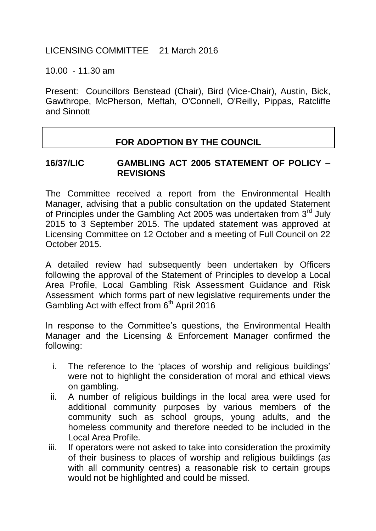## LICENSING COMMITTEE 21 March 2016

10.00 - 11.30 am

Present: Councillors Benstead (Chair), Bird (Vice-Chair), Austin, Bick, Gawthrope, McPherson, Meftah, O'Connell, O'Reilly, Pippas, Ratcliffe and Sinnott

## **FOR ADOPTION BY THE COUNCIL**

## **16/37/LIC GAMBLING ACT 2005 STATEMENT OF POLICY – REVISIONS**

The Committee received a report from the Environmental Health Manager, advising that a public consultation on the updated Statement of Principles under the Gambling Act 2005 was undertaken from 3<sup>rd</sup> July 2015 to 3 September 2015. The updated statement was approved at Licensing Committee on 12 October and a meeting of Full Council on 22 October 2015.

A detailed review had subsequently been undertaken by Officers following the approval of the Statement of Principles to develop a Local Area Profile, Local Gambling Risk Assessment Guidance and Risk Assessment which forms part of new legislative requirements under the Gambling Act with effect from 6<sup>th</sup> April 2016

In response to the Committee's questions, the Environmental Health Manager and the Licensing & Enforcement Manager confirmed the following:

- i. The reference to the 'places of worship and religious buildings' were not to highlight the consideration of moral and ethical views on gambling.
- ii. A number of religious buildings in the local area were used for additional community purposes by various members of the community such as school groups, young adults, and the homeless community and therefore needed to be included in the Local Area Profile.
- iii. If operators were not asked to take into consideration the proximity of their business to places of worship and religious buildings (as with all community centres) a reasonable risk to certain groups would not be highlighted and could be missed.